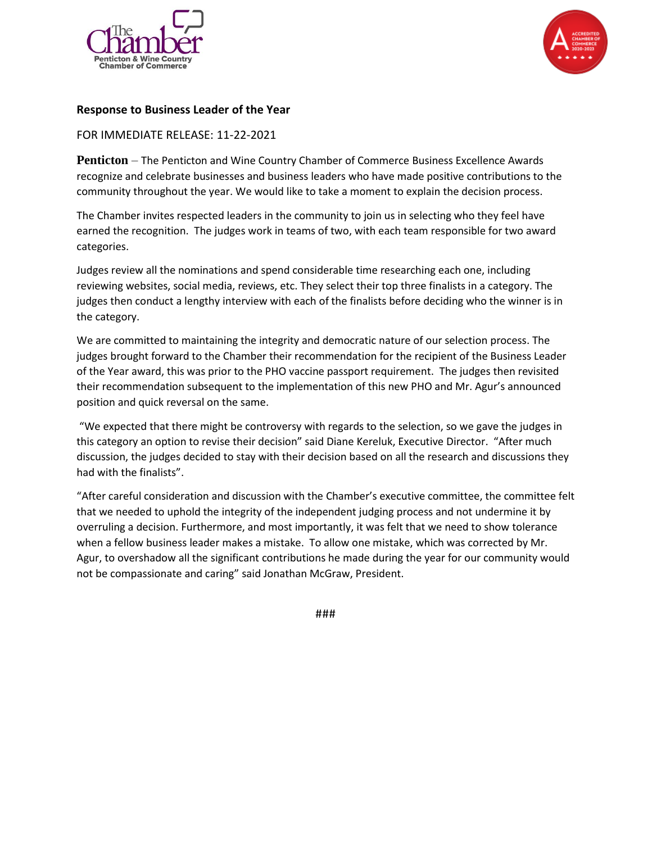



## **Response to Business Leader of the Year**

## FOR IMMEDIATE RELEASE: 11-22-2021

**Penticton** – The Penticton and Wine Country Chamber of Commerce Business Excellence Awards recognize and celebrate businesses and business leaders who have made positive contributions to the community throughout the year. We would like to take a moment to explain the decision process.

The Chamber invites respected leaders in the community to join us in selecting who they feel have earned the recognition. The judges work in teams of two, with each team responsible for two award categories.

Judges review all the nominations and spend considerable time researching each one, including reviewing websites, social media, reviews, etc. They select their top three finalists in a category. The judges then conduct a lengthy interview with each of the finalists before deciding who the winner is in the category.

We are committed to maintaining the integrity and democratic nature of our selection process. The judges brought forward to the Chamber their recommendation for the recipient of the Business Leader of the Year award, this was prior to the PHO vaccine passport requirement. The judges then revisited their recommendation subsequent to the implementation of this new PHO and Mr. Agur's announced position and quick reversal on the same.

"We expected that there might be controversy with regards to the selection, so we gave the judges in this category an option to revise their decision" said Diane Kereluk, Executive Director. "After much discussion, the judges decided to stay with their decision based on all the research and discussions they had with the finalists".

"After careful consideration and discussion with the Chamber's executive committee, the committee felt that we needed to uphold the integrity of the independent judging process and not undermine it by overruling a decision. Furthermore, and most importantly, it was felt that we need to show tolerance when a fellow business leader makes a mistake. To allow one mistake, which was corrected by Mr. Agur, to overshadow all the significant contributions he made during the year for our community would not be compassionate and caring" said Jonathan McGraw, President.

###